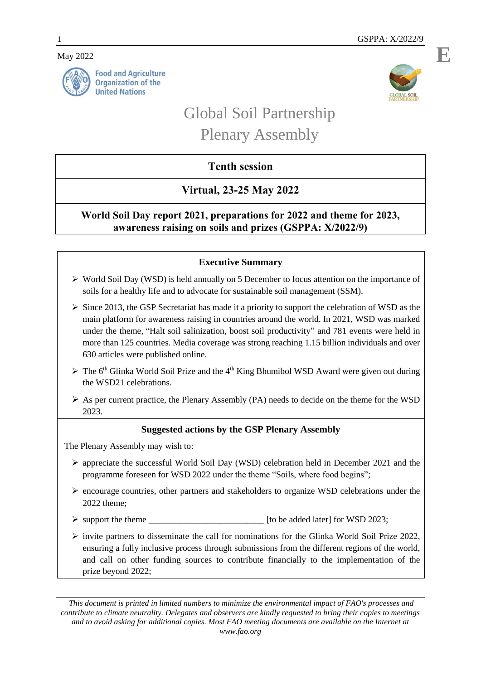May 2022





**E**

# Global Soil Partnership Plenary Assembly

# **Tenth session**

# **Virtual, 23-25 May 2022**

## **World Soil Day report 2021, preparations for 2022 and theme for 2023, awareness raising on soils and prizes (GSPPA: X/2022/9)**

## **Executive Summary**

- World Soil Day (WSD) is held annually on 5 December to focus attention on the importance of soils for a healthy life and to advocate for sustainable soil management (SSM).
- $\triangleright$  Since 2013, the GSP Secretariat has made it a priority to support the celebration of WSD as the main platform for awareness raising in countries around the world. In 2021, WSD was marked under the theme, "Halt soil salinization, boost soil productivity" and 781 events were held in more than 125 countries. Media coverage was strong reaching 1.15 billion individuals and over 630 articles were published online.
- $\triangleright$  The 6<sup>th</sup> Glinka World Soil Prize and the 4<sup>th</sup> King Bhumibol WSD Award were given out during the WSD21 celebrations.
- $\triangleright$  As per current practice, the Plenary Assembly (PA) needs to decide on the theme for the WSD 2023.

## **Suggested actions by the GSP Plenary Assembly**

The Plenary Assembly may wish to:

- $\triangleright$  appreciate the successful World Soil Day (WSD) celebration held in December 2021 and the programme foreseen for WSD 2022 under the theme "Soils, where food begins";
- $\triangleright$  encourage countries, other partners and stakeholders to organize WSD celebrations under the 2022 theme;
- support the theme \_\_\_\_\_\_\_\_\_\_\_\_\_\_\_\_\_\_\_\_\_\_\_\_\_\_ [to be added later] for WSD 2023;
- $\triangleright$  invite partners to disseminate the call for nominations for the Glinka World Soil Prize 2022, ensuring a fully inclusive process through submissions from the different regions of the world, and call on other funding sources to contribute financially to the implementation of the prize beyond 2022;

*This document is printed in limited numbers to minimize the environmental impact of FAO's processes and contribute to climate neutrality. Delegates and observers are kindly requested to bring their copies to meetings and to avoid asking for additional copies. Most FAO meeting documents are available on the Internet at www.fao.org*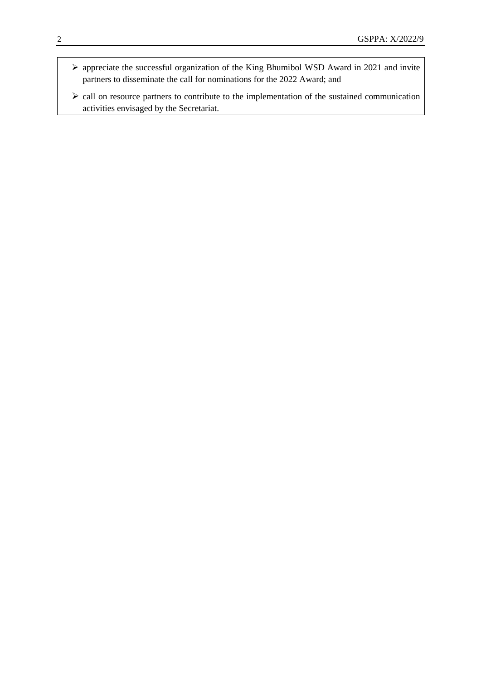- appreciate the successful organization of the King Bhumibol WSD Award in 2021 and invite partners to disseminate the call for nominations for the 2022 Award; and
- $\triangleright$  call on resource partners to contribute to the implementation of the sustained communication activities envisaged by the Secretariat.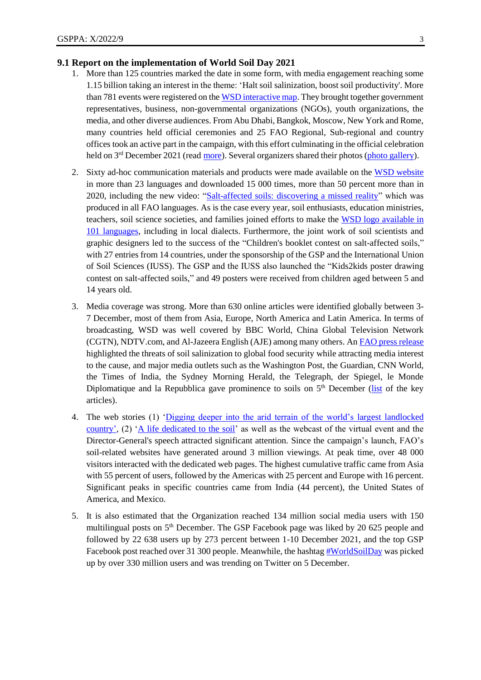### **9.1 Report on the implementation of World Soil Day 2021**

- 1. More than 125 countries marked the date in some form, with media engagement reaching some 1.15 billion taking an interest in the theme: 'Halt soil salinization, boost soil productivity'. More than 781 events were registered on th[e WSD interactive map.](http://www.fao.org/world-soil-day/worldwide-events/en/) They brought together government representatives, business, non-governmental organizations (NGOs), youth organizations, the media, and other diverse audiences. From Abu Dhabi, Bangkok, Moscow, New York and Rome, many countries held official ceremonies and 25 FAO Regional, Sub-regional and country offices took an active part in the campaign, with this effort culminating in the official celebration held on 3<sup>rd</sup> December 2021 (read <u>more</u>). Several organizers shared their photos (photo [gallery\)](https://www.flickr.com/photos/faooftheun/albums/72177720296047263).
- 2. Sixty ad-hoc communication materials and products were made available on the [WSD website](http://www.fao.org/world-soil-day/campaign-materials/en/) in more than 23 languages and downloaded 15 000 times, more than 50 percent more than in 2020, including the new video: ["Salt-affected soils: discovering a missed reality"](https://youtu.be/kQcax3Rv4oA) which was produced in all FAO languages. As is the case every year, soil enthusiasts, education ministries, teachers, soil science societies, and families joined efforts to make the [WSD logo available in](http://www.fao.org/world-soil-day/logo/en/)  101 [languages,](http://www.fao.org/world-soil-day/logo/en/) including in local dialects. Furthermore, the joint work of soil scientists and graphic designers led to the success of the "Children's booklet contest on salt-affected soils," with 27 entries from 14 countries, under the sponsorship of the GSP and the International Union of Soil Sciences (IUSS). The GSP and the IUSS also launched the ["Kids2kids poster drawing](https://www.fao.org/world-soil-day/poster-contest/en/)  [contest on salt-affected soils,"](https://www.fao.org/world-soil-day/poster-contest/en/) and 49 posters were received from children aged between 5 and 14 years old.
- 3. Media coverage was strong. More than 630 online articles were identified globally between 3- 7 December, most of them from Asia, Europe, North America and Latin America. In terms of broadcasting, WSD was well covered by BBC World, China Global Television Network (CGTN), NDTV.com, and Al-Jazeera English (AJE) among many others. An FAO [press release](https://www.fao.org/newsroom/detail/world-soil-day-fao-highlights-threat-of-soil-salinization-to-food-security-031221/en)  highlighted the threats of soil salinization to global food security while attracting media interest to the cause, and major media outlets such as the Washington Post, the Guardian, CNN World, the Times of India, the Sydney Morning Herald, the Telegraph, der Spiegel, le Monde Diplomatique and la Repubblica gave prominence to soils on  $5<sup>th</sup>$  December [\(list](https://www.fao.org/world-soil-day/about-wsd/wsd-2021/media/en/) of the key articles).
- 4. The web stories (1) ['Digging deeper into the arid terrain of the world's largest landlocked](https://www.fao.org/fao-stories/article/en/c/1457421/)  [country',](https://www.fao.org/fao-stories/article/en/c/1457421/) (2) ['A life dedicated to the soil'](https://www.fao.org/fao-stories/article/en/c/1458405/) as well as the webcast of the virtual event and the Director-General's speech attracted significant attention. Since the campaign's launch, FAO's soil-related websites have generated around 3 million viewings. At peak time, over 48 000 visitors interacted with the dedicated web pages. The highest cumulative traffic came from Asia with 55 percent of users, followed by the Americas with 25 percent and Europe with 16 percent. Significant peaks in specific countries came from India (44 percent), the United States of America, and Mexico.
- 5. It is also estimated that the Organization reached 134 million social media users with 150 multilingual posts on  $5<sup>th</sup>$  December. The GSP Facebook page was liked by 20 625 people and followed by 22 638 users up by 273 percent between 1-10 December 2021, and the top GSP Facebook post reached over 31 300 people. Meanwhile, the hashta[g #WorldSoilDay](https://twitter.com/search?q=%23WorldSoilDay&src=typeahead_click&f=top) was picked up by over 330 million users and was trending on Twitter on 5 December.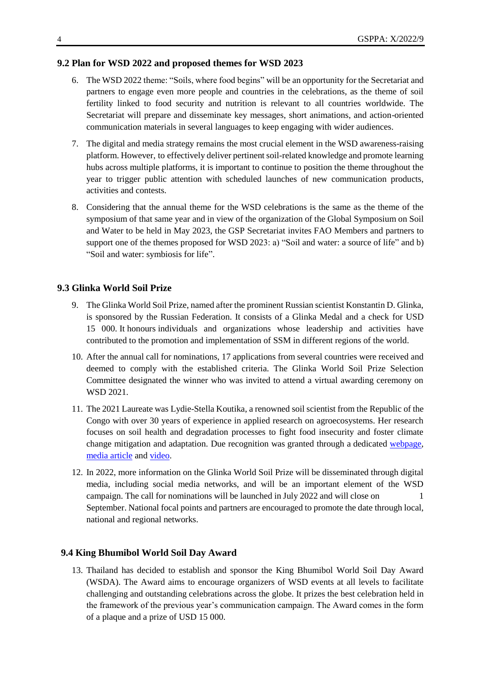#### **9.2 Plan for WSD 2022 and proposed themes for WSD 2023**

- 6. The WSD 2022 theme: "Soils, where food begins" will be an opportunity for the Secretariat and partners to engage even more people and countries in the celebrations, as the theme of soil fertility linked to food security and nutrition is relevant to all countries worldwide. The Secretariat will prepare and disseminate key messages, short animations, and action-oriented communication materials in several languages to keep engaging with wider audiences.
- 7. The digital and media strategy remains the most crucial element in the WSD awareness-raising platform. However, to effectively deliver pertinent soil-related knowledge and promote learning hubs across multiple platforms, it is important to continue to position the theme throughout the year to trigger public attention with scheduled launches of new communication products, activities and contests.
- 8. Considering that the annual theme for the WSD celebrations is the same as the theme of the symposium of that same year and in view of the organization of the Global Symposium on Soil and Water to be held in May 2023, the GSP Secretariat invites FAO Members and partners to support one of the themes proposed for WSD 2023: a) "Soil and water: a source of life" and b) "Soil and water: symbiosis for life".

## **9.3 Glinka World Soil Prize**

- 9. The Glinka World Soil Prize, named after the prominent Russian scientist Konstantin D. Glinka, is sponsored by the Russian Federation. It consists of a Glinka Medal and a check for USD 15 000. It honours individuals and organizations whose leadership and activities have contributed to the promotion and implementation of SSM in different regions of the world.
- 10. After the annual call for nominations, 17 applications from several countries were received and deemed to comply with the established criteria. The Glinka World Soil Prize Selection Committee designated the winner who was invited to attend a virtual awarding ceremony on WSD 2021.
- 11. The 2021 Laureate was Lydie-Stella Koutika, a renowned soil scientist from the Republic of the Congo with over 30 years of experience in applied research on agroecosystems. Her research focuses on soil health and degradation processes to fight food insecurity and foster climate change mitigation and adaptation. Due recognition was granted through a dedicated [webpage,](https://www.fao.org/world-soil-day/glinka-world-soil-prize/en/) [media article](https://www.fao.org/global-soil-partnership/resources/highlights/detail/en/c/1458252/) and [video.](https://www.youtube.com/watch?v=FVqzmPjubKM)
- 12. In 2022, more information on the Glinka World Soil Prize will be disseminated through digital media, including social media networks, and will be an important element of the WSD campaign. The call for nominations will be launched in July 2022 and will close on 1 September. National focal points and partners are encouraged to promote the date through local, national and regional networks.

## **9.4 King Bhumibol World Soil Day Award**

13. Thailand has decided to establish and sponsor the King Bhumibol World Soil Day Award (WSDA). The Award aims to encourage organizers of WSD events at all levels to facilitate challenging and outstanding celebrations across the globe. It prizes the best celebration held in the framework of the previous year's communication campaign. The Award comes in the form of a plaque and a prize of USD 15 000.